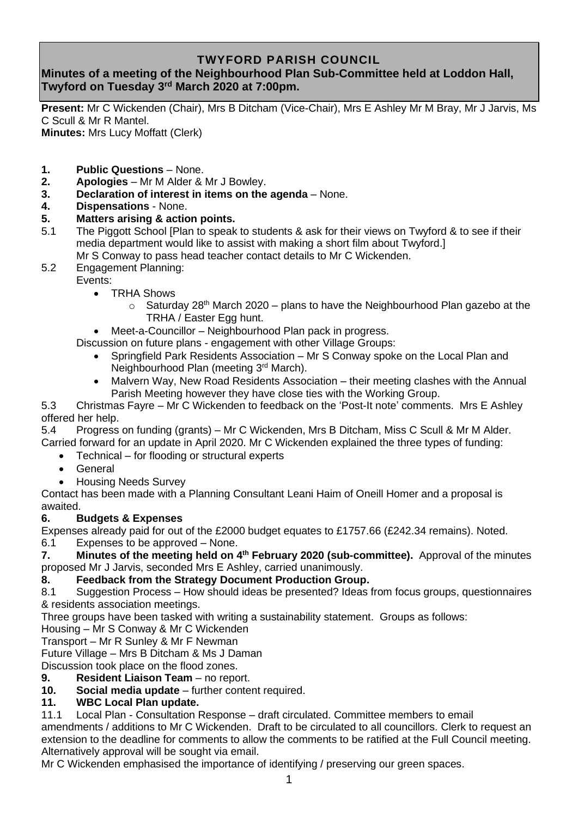## **TWYFORD PARISH COUNCIL**

# **Minutes of a meeting of the Neighbourhood Plan Sub-Committee held at Loddon Hall, Twyford on Tuesday 3 rd March 2020 at 7:00pm.**

**Present:** Mr C Wickenden (Chair), Mrs B Ditcham (Vice-Chair), Mrs E Ashley Mr M Bray, Mr J Jarvis, Ms C Scull & Mr R Mantel.

**Minutes:** Mrs Lucy Moffatt (Clerk)

- **1. Public Questions** None.
- **2. Apologies** Mr M Alder & Mr J Bowley.
- **3. Declaration of interest in items on the agenda** None.
- **4. Dispensations** None.

### **5. Matters arising & action points.**

- 5.1 The Piggott School [Plan to speak to students & ask for their views on Twyford & to see if their media department would like to assist with making a short film about Twyford.]
	- Mr S Conway to pass head teacher contact details to Mr C Wickenden.
- 5.2 Engagement Planning:
	- Events:
		- TRHA Shows
			- $\circ$  Saturday 28<sup>th</sup> March 2020 plans to have the Neighbourhood Plan gazebo at the TRHA / Easter Egg hunt.
		- Meet-a-Councillor Neighbourhood Plan pack in progress.

Discussion on future plans - engagement with other Village Groups:

- Springfield Park Residents Association Mr S Conway spoke on the Local Plan and Neighbourhood Plan (meeting 3<sup>rd</sup> March).
- Malvern Way, New Road Residents Association their meeting clashes with the Annual Parish Meeting however they have close ties with the Working Group.

5.3 Christmas Fayre – Mr C Wickenden to feedback on the 'Post-It note' comments. Mrs E Ashley offered her help.

5.4 Progress on funding (grants) – Mr C Wickenden, Mrs B Ditcham, Miss C Scull & Mr M Alder. Carried forward for an update in April 2020. Mr C Wickenden explained the three types of funding:

- Technical for flooding or structural experts
	- General
- Housing Needs Survey

Contact has been made with a Planning Consultant Leani Haim of Oneill Homer and a proposal is awaited.

### **6. Budgets & Expenses**

Expenses already paid for out of the £2000 budget equates to £1757.66 (£242.34 remains). Noted.

6.1 Expenses to be approved – None.

**7.** Minutes of the meeting held on 4<sup>th</sup> February 2020 (sub-committee). Approval of the minutes proposed Mr J Jarvis, seconded Mrs E Ashley, carried unanimously.

#### **8. Feedback from the Strategy Document Production Group.**

8.1 Suggestion Process – How should ideas be presented? Ideas from focus groups, questionnaires & residents association meetings.

Three groups have been tasked with writing a sustainability statement. Groups as follows:

Housing – Mr S Conway & Mr C Wickenden

Transport – Mr R Sunley & Mr F Newman

Future Village – Mrs B Ditcham & Ms J Daman

Discussion took place on the flood zones.

**9. Resident Liaison Team** – no report.

**10. Social media update** – further content required.

#### **11. WBC Local Plan update.**

11.1 Local Plan - Consultation Response – draft circulated. Committee members to email

amendments / additions to Mr C Wickenden. Draft to be circulated to all councillors. Clerk to request an extension to the deadline for comments to allow the comments to be ratified at the Full Council meeting. Alternatively approval will be sought via email.

Mr C Wickenden emphasised the importance of identifying / preserving our green spaces.